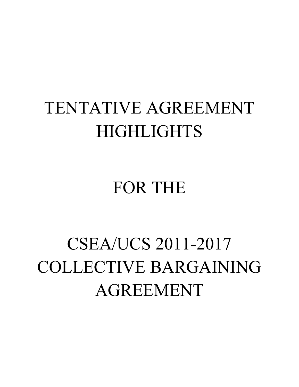## TENTATIVE AGREEMENT HIGHLIGHTS

## FOR THE

## CSEA/UCS 2011-2017 COLLECTIVE BARGAINING AGREEMENT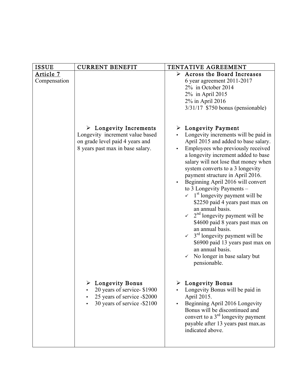| <b>ISSUE</b>                     | <b>CURRENT BENEFIT</b>                                                                                                                          | TENTATIVE AGREEMENT                                                                                                                                                                                                                                                                                                                                                                                                                                                                                                                                                                                                                                                                                                                                                                |
|----------------------------------|-------------------------------------------------------------------------------------------------------------------------------------------------|------------------------------------------------------------------------------------------------------------------------------------------------------------------------------------------------------------------------------------------------------------------------------------------------------------------------------------------------------------------------------------------------------------------------------------------------------------------------------------------------------------------------------------------------------------------------------------------------------------------------------------------------------------------------------------------------------------------------------------------------------------------------------------|
| <u>Article 7</u><br>Compensation |                                                                                                                                                 | $\triangleright$ Across the Board Increases<br>6 year agreement 2011-2017<br>2% in October 2014<br>2% in April 2015<br>2% in April 2016<br>$3/31/17$ \$750 bonus (pensionable)                                                                                                                                                                                                                                                                                                                                                                                                                                                                                                                                                                                                     |
|                                  | $\triangleright$ Longevity Increments<br>Longevity increment value based<br>on grade level paid 4 years and<br>8 years past max in base salary. | $\triangleright$ Longevity Payment<br>Longevity increments will be paid in<br>April 2015 and added to base salary.<br>Employees who previously received<br>a longevity increment added to base<br>salary will not lose that money when<br>system converts to a 3 longevity<br>payment structure in April 2016.<br>Beginning April 2016 will convert<br>to 3 Longevity Payments -<br>$\sim$ 1 <sup>st</sup> longevity payment will be<br>\$2250 paid 4 years past max on<br>an annual basis.<br>$\sim$ 2 <sup>nd</sup> longevity payment will be<br>\$4600 paid 8 years past max on<br>an annual basis.<br>$\sim$ 3 <sup>rd</sup> longevity payment will be<br>\$6900 paid 13 years past max on<br>an annual basis.<br>No longer in base salary but<br>$\checkmark$<br>pensionable. |
|                                  | Longevity Bonus<br>20 years of service-\$1900<br>25 years of service -\$2000<br>30 years of service -\$2100                                     | Longevity Bonus<br>Longevity Bonus will be paid in<br>April 2015.<br>Beginning April 2016 Longevity<br>Bonus will be discontinued and<br>convert to a $3rd$ longevity payment<br>payable after 13 years past max.as<br>indicated above.                                                                                                                                                                                                                                                                                                                                                                                                                                                                                                                                            |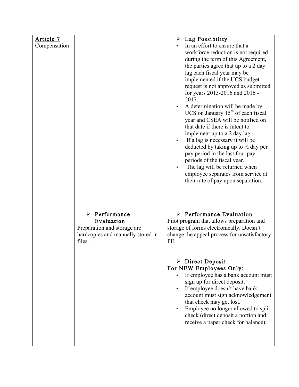| Article 7    |                                   | $\triangleright$ Lag Possibility                                                  |
|--------------|-----------------------------------|-----------------------------------------------------------------------------------|
| Compensation |                                   | In an effort to ensure that a                                                     |
|              |                                   | workforce reduction is not required                                               |
|              |                                   | during the term of this Agreement,                                                |
|              |                                   | the parties agree that up to a 2 day                                              |
|              |                                   | lag each fiscal year may be                                                       |
|              |                                   | implemented if the UCS budget                                                     |
|              |                                   | request is not approved as submitted<br>for years 2015-2016 and 2016 -            |
|              |                                   | 2017.                                                                             |
|              |                                   | A determination will be made by                                                   |
|              |                                   | UCS on January $15th$ of each fiscal                                              |
|              |                                   | year and CSEA will be notified on                                                 |
|              |                                   | that date if there is intent to                                                   |
|              |                                   | implement up to a 2 day lag.                                                      |
|              |                                   | If a lag is necessary it will be<br>$\bullet$                                     |
|              |                                   | deducted by taking up to $\frac{1}{2}$ day per<br>pay period in the last four pay |
|              |                                   | periods of the fiscal year.                                                       |
|              |                                   | The lag will be returned when                                                     |
|              |                                   | employee separates from service at                                                |
|              |                                   | their rate of pay upon separation.                                                |
|              |                                   |                                                                                   |
|              |                                   |                                                                                   |
|              |                                   |                                                                                   |
|              | $\triangleright$ Performance      | $\triangleright$ Performance Evaluation                                           |
|              | Evaluation                        | Pilot program that allows preparation and                                         |
|              | Preparation and storage are       | storage of forms electronically. Doesn't                                          |
|              | hardcopies and manually stored in | change the appeal process for unsatisfactory                                      |
|              | files.                            | PE.                                                                               |
|              |                                   |                                                                                   |
|              |                                   | $\triangleright$ Direct Deposit                                                   |
|              |                                   | For NEW Employees Only:                                                           |
|              |                                   | If employee has a bank account must<br>$\bullet$                                  |
|              |                                   | sign up for direct deposit.                                                       |
|              |                                   | If employee doesn't have bank                                                     |
|              |                                   | account must sign acknowledgement                                                 |
|              |                                   | that check may get lost.                                                          |
|              |                                   | Employee no longer allowed to split<br>check (direct deposit a portion and        |
|              |                                   | receive a paper check for balance).                                               |
|              |                                   |                                                                                   |
|              |                                   |                                                                                   |
|              |                                   |                                                                                   |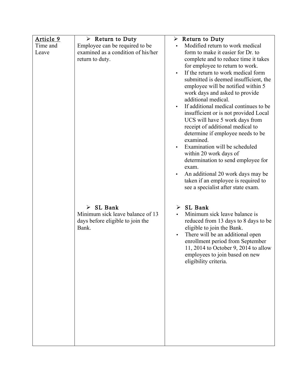| <u>Article 9</u> | $\triangleright$ Return to Duty    | Return to Duty                                  |
|------------------|------------------------------------|-------------------------------------------------|
| Time and         | Employee can be required to be     | Modified return to work medical                 |
| Leave            | examined as a condition of his/her | form to make it easier for Dr. to               |
|                  | return to duty.                    | complete and to reduce time it takes            |
|                  |                                    | for employee to return to work.                 |
|                  |                                    | If the return to work medical form<br>$\bullet$ |
|                  |                                    | submitted is deemed insufficient, the           |
|                  |                                    | employee will be notified within 5              |
|                  |                                    | work days and asked to provide                  |
|                  |                                    | additional medical.                             |
|                  |                                    | If additional medical continues to be           |
|                  |                                    | insufficient or is not provided Local           |
|                  |                                    | UCS will have 5 work days from                  |
|                  |                                    | receipt of additional medical to                |
|                  |                                    | determine if employee needs to be               |
|                  |                                    | examined.                                       |
|                  |                                    | Examination will be scheduled                   |
|                  |                                    | within 20 work days of                          |
|                  |                                    | determination to send employee for              |
|                  |                                    | exam.                                           |
|                  |                                    | An additional 20 work days may be               |
|                  |                                    | taken if an employee is required to             |
|                  |                                    | see a specialist after state exam.              |
|                  |                                    |                                                 |
|                  |                                    |                                                 |
|                  | $\triangleright$ SL Bank           | SL Bank<br>➤                                    |
|                  | Minimum sick leave balance of 13   | Minimum sick leave balance is                   |
|                  | days before eligible to join the   | reduced from 13 days to 8 days to be            |
|                  | Bank.                              | eligible to join the Bank.                      |
|                  |                                    | There will be an additional open<br>$\bullet$   |
|                  |                                    | enrollment period from September                |
|                  |                                    | 11, 2014 to October 9, 2014 to allow            |
|                  |                                    | employees to join based on new                  |
|                  |                                    | eligibility criteria.                           |
|                  |                                    |                                                 |
|                  |                                    |                                                 |
|                  |                                    |                                                 |
|                  |                                    |                                                 |
|                  |                                    |                                                 |
|                  |                                    |                                                 |
|                  |                                    |                                                 |
|                  |                                    |                                                 |
|                  |                                    |                                                 |
|                  |                                    |                                                 |
|                  |                                    |                                                 |
|                  |                                    |                                                 |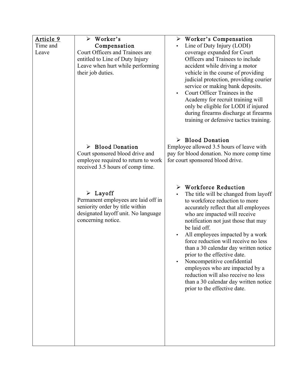| <u>Article 9</u> | Worker's                            | $\triangleright$ Worker's Compensation             |
|------------------|-------------------------------------|----------------------------------------------------|
| Time and         | Compensation                        | Line of Duty Injury (LODI)                         |
| Leave            | Court Officers and Trainees are     | coverage expanded for Court                        |
|                  | entitled to Line of Duty Injury     | Officers and Trainees to include                   |
|                  | Leave when hurt while performing    | accident while driving a motor                     |
|                  | their job duties.                   | vehicle in the course of providing                 |
|                  |                                     | judicial protection, providing courier             |
|                  |                                     | service or making bank deposits.                   |
|                  |                                     | Court Officer Trainees in the<br>$\bullet$         |
|                  |                                     | Academy for recruit training will                  |
|                  |                                     | only be eligible for LODI if injured               |
|                  |                                     | during firearms discharge at firearms              |
|                  |                                     | training or defensive tactics training.            |
|                  |                                     |                                                    |
|                  |                                     |                                                    |
|                  |                                     | $\triangleright$ Blood Donation                    |
|                  | $\triangleright$ Blood Donation     | Employee allowed 3.5 hours of leave with           |
|                  | Court sponsored blood drive and     | pay for blood donation. No more comp time          |
|                  | employee required to return to work | for court sponsored blood drive.                   |
|                  | received 3.5 hours of comp time.    |                                                    |
|                  |                                     |                                                    |
|                  |                                     |                                                    |
|                  |                                     | $\triangleright$ Workforce Reduction               |
|                  | $\triangleright$ Layoff             | The title will be changed from layoff<br>$\bullet$ |
|                  | Permanent employees are laid off in | to workforce reduction to more                     |
|                  | seniority order by title within     | accurately reflect that all employees              |
|                  | designated layoff unit. No language | who are impacted will receive                      |
|                  | concerning notice.                  | notification not just those that may               |
|                  |                                     | be laid off.                                       |
|                  |                                     | All employees impacted by a work                   |
|                  |                                     | force reduction will receive no less               |
|                  |                                     | than a 30 calendar day written notice              |
|                  |                                     | prior to the effective date.                       |
|                  |                                     | Noncompetitive confidential                        |
|                  |                                     | employees who are impacted by a                    |
|                  |                                     | reduction will also receive no less                |
|                  |                                     | than a 30 calendar day written notice              |
|                  |                                     | prior to the effective date.                       |
|                  |                                     |                                                    |
|                  |                                     |                                                    |
|                  |                                     |                                                    |
|                  |                                     |                                                    |
|                  |                                     |                                                    |
|                  |                                     |                                                    |
|                  |                                     |                                                    |
|                  |                                     |                                                    |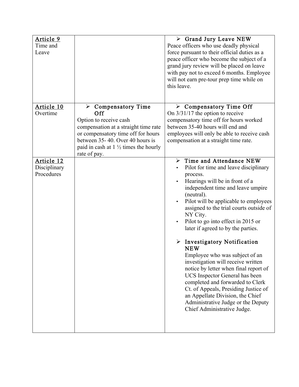| Article 9<br>Time and<br>Leave           |                                                                                                                                                                                                                                                         | $\triangleright$ Grand Jury Leave NEW<br>Peace officers who use deadly physical<br>force pursuant to their official duties as a<br>peace officer who become the subject of a<br>grand jury review will be placed on leave<br>with pay not to exceed 6 months. Employee<br>will not earn pre-tour prep time while on<br>this leave.                                                                                                                                                                                                                                                                                                                                                                                                                                   |
|------------------------------------------|---------------------------------------------------------------------------------------------------------------------------------------------------------------------------------------------------------------------------------------------------------|----------------------------------------------------------------------------------------------------------------------------------------------------------------------------------------------------------------------------------------------------------------------------------------------------------------------------------------------------------------------------------------------------------------------------------------------------------------------------------------------------------------------------------------------------------------------------------------------------------------------------------------------------------------------------------------------------------------------------------------------------------------------|
| Article 10<br>Overtime                   | $\triangleright$ Compensatory Time<br>Off<br>Option to receive cash<br>compensation at a straight time rate<br>or compensatory time off for hours<br>between 35-40. Over 40 hours is<br>paid in cash at $1\frac{1}{2}$ times the hourly<br>rate of pay. | $\triangleright$ Compensatory Time Off<br>On $3/31/17$ the option to receive<br>compensatory time off for hours worked<br>between 35-40 hours will end and<br>employees will only be able to receive cash<br>compensation at a straight time rate.                                                                                                                                                                                                                                                                                                                                                                                                                                                                                                                   |
| Article 12<br>Disciplinary<br>Procedures |                                                                                                                                                                                                                                                         | Time and Attendance NEW<br>➤<br>Pilot for time and leave disciplinary<br>process.<br>Hearings will be in front of a<br>independent time and leave umpire<br>(neutral).<br>Pilot will be applicable to employees<br>assigned to the trial courts outside of<br>NY City.<br>Pilot to go into effect in 2015 or<br>$\bullet$<br>later if agreed to by the parties.<br>$\triangleright$ Investigatory Notification<br><b>NEW</b><br>Employee who was subject of an<br>investigation will receive written<br>notice by letter when final report of<br>UCS Inspector General has been<br>completed and forwarded to Clerk<br>Ct. of Appeals, Presiding Justice of<br>an Appellate Division, the Chief<br>Administrative Judge or the Deputy<br>Chief Administrative Judge. |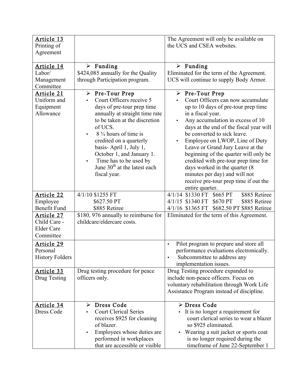| Article 13<br>Printing of<br>Agreement                       |                                                                                                                                                                                                                                                                                                                                                                                   | The Agreement will only be available on<br>the UCS and CSEA websites.                                                                                                                                                                                                                                                                                                                                                                                                                                                                                         |
|--------------------------------------------------------------|-----------------------------------------------------------------------------------------------------------------------------------------------------------------------------------------------------------------------------------------------------------------------------------------------------------------------------------------------------------------------------------|---------------------------------------------------------------------------------------------------------------------------------------------------------------------------------------------------------------------------------------------------------------------------------------------------------------------------------------------------------------------------------------------------------------------------------------------------------------------------------------------------------------------------------------------------------------|
| Article 14<br>Labor/<br>Management<br>Committee              | $\triangleright$ Funding<br>\$424,085 annually for the Quality<br>through Participation program.                                                                                                                                                                                                                                                                                  | $\triangleright$ Funding<br>Eliminated for the term of the Agreement.<br>UCS will continue to supply Body Armor.                                                                                                                                                                                                                                                                                                                                                                                                                                              |
| Article 21<br>Uniform and<br>Equipment<br>Allowance          | $\triangleright$ Pre-Tour Prep<br>Court Officers receive 5<br>days of pre-tour prep time<br>annually at straight time rate<br>to be taken at the discretion<br>of UCS.<br>$8\frac{3}{4}$ hours of time is<br>credited on a quarterly<br>basis-April 1, July 1,<br>October 1, and January 1.<br>Time has to be used by<br>June 30 <sup>th</sup> at the latest each<br>fiscal year. | $\triangleright$ Pre-Tour Prep<br>Court Officers can now accumulate<br>up to 10 days of pre-tour prep time<br>in a fiscal year.<br>Any accumulation in excess of 10<br>$\bullet$<br>days at the end of the fiscal year will<br>be converted to sick leave.<br>Employee on LWOP, Line of Duty<br>$\bullet$<br>Leave or Grand Jury Leave at the<br>beginning of the quarter will only be<br>credited with pre-tour prep time for<br>days worked in the quarter (8)<br>minutes per day) and will not<br>receive pre-tour prep time if out the<br>entire quarter. |
| Article 22                                                   | 4/1/10 \$1255 FT                                                                                                                                                                                                                                                                                                                                                                  | 4/1/14 \$1330 FT \$665 PT<br>\$885 Retiree                                                                                                                                                                                                                                                                                                                                                                                                                                                                                                                    |
| Employee<br><b>Benefit Fund</b>                              | \$627.50 PT<br>\$885 Retiree                                                                                                                                                                                                                                                                                                                                                      | 4/1/15 \$1340 FT \$670 PT<br>\$885 Retiree<br>$4/1/16$ \$1365 FT<br>\$682.50 PT \$885 Retiree                                                                                                                                                                                                                                                                                                                                                                                                                                                                 |
| Article 27<br>Child Care -<br><b>Elder Care</b><br>Committee | \$180, 976 annually to reimburse for<br>childcare/eldercare costs.                                                                                                                                                                                                                                                                                                                | Eliminated for the term of this Agreement.                                                                                                                                                                                                                                                                                                                                                                                                                                                                                                                    |
| Article 29<br>Personal<br><b>History Folders</b>             |                                                                                                                                                                                                                                                                                                                                                                                   | Pilot program to prepare and store all<br>$\bullet$<br>performance evaluations electronically.<br>Subcommittee to address any<br>implementation issues.                                                                                                                                                                                                                                                                                                                                                                                                       |
| Article 33<br>Drug Testing                                   | Drug testing procedure for peace<br>officers only.                                                                                                                                                                                                                                                                                                                                | Drug Testing procedure expanded to<br>include non-peace officers. Focus on<br>voluntary rehabilitation through Work Life<br>Assistance Program instead of discipline.                                                                                                                                                                                                                                                                                                                                                                                         |
| Article 34<br>Dress Code                                     | Dress Code<br>➤<br><b>Court Clerical Series</b><br>receives \$925 for cleaning<br>of blazer.<br>Employees whose duties are<br>$\bullet$<br>performed in workplaces<br>that are accessible or visible                                                                                                                                                                              | > Dress Code<br>• It is no longer a requirement for<br>court clerical series to wear a blazer<br>so \$925 eliminated.<br>Wearing a suit jacket or sports coat<br>٠<br>is no longer required during the<br>timeframe of June 22-September 1                                                                                                                                                                                                                                                                                                                    |